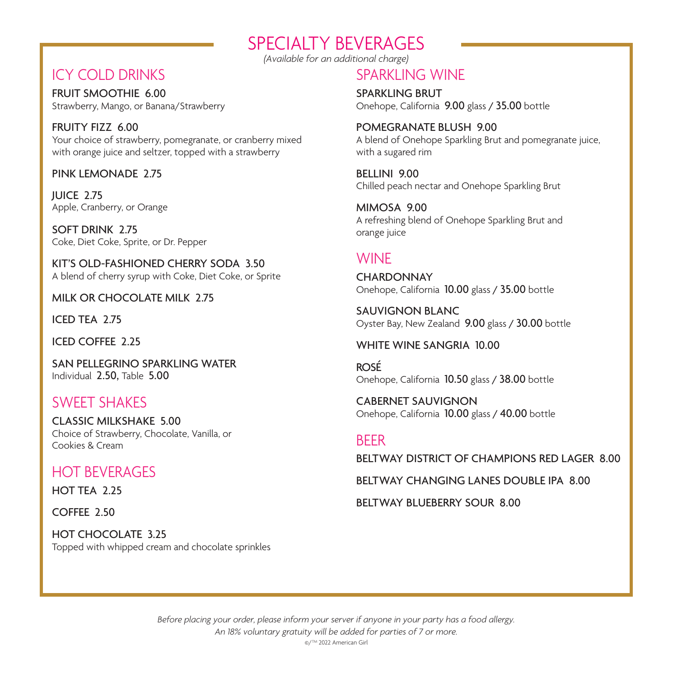## SPECIALTY BEVERAGES

*(Available for an additional charge)*

## ICY COLD DRINKS

FRUIT SMOOTHIE 6.00 Strawberry, Mango, or Banana/Strawberry

FRUITY FIZZ 6.00 Your choice of strawberry, pomegranate, or cranberry mixed with orange juice and seltzer, topped with a strawberry

PINK LEMONADE 2.75

JUICE 2.75 Apple, Cranberry, or Orange

SOFT DRINK 2.75 Coke, Diet Coke, Sprite, or Dr. Pepper

KIT'S OLD-FASHIONED CHERRY SODA 3.50 A blend of cherry syrup with Coke, Diet Coke, or Sprite

MILK OR CHOCOLATE MILK 2.75

ICED TEA 2.75

ICED COFFEE 2.25

SAN PELLEGRINO SPARKLING WATER Individual 2.50, Table 5.00

### SWEET SHAKES

CLASSIC MILKSHAKE 5.00 Choice of Strawberry, Chocolate, Vanilla, or Cookies & Cream

### HOT BEVERAGES

HOT TEA 2.25

COFFEE 2.50

HOT CHOCOLATE 3.25 Topped with whipped cream and chocolate sprinkles

## SPARKLING WINE

SPARKLING BRUT Onehope, California 9.00 glass / 35.00 bottle

POMEGRANATE BLUSH 9.00 A blend of Onehope Sparkling Brut and pomegranate juice, with a sugared rim

BELLINI 9.00 Chilled peach nectar and Onehope Sparkling Brut

MIMOSA 9.00 A refreshing blend of Onehope Sparkling Brut and orange juice

## **WINF**

**CHARDONNAY** Onehope, California 10.00 glass / 35.00 bottle

SAUVIGNON BLANC Oyster Bay, New Zealand 9.00 glass / 30.00 bottle

#### WHITE WINE SANGRIA 10.00

ROSÉ Onehope, California 10.50 glass / 38.00 bottle

CABERNET SAUVIGNON Onehope, California 10.00 glass / 40.00 bottle

### BEER

BELTWAY DISTRICT OF CHAMPIONS RED LAGER 8.00

BELTWAY CHANGING LANES DOUBLE IPA 8.00

BELTWAY BLUEBERRY SOUR 8.00

*Before placing your order, please inform your server if anyone in your party has a food allergy. An 18% voluntary gratuity will be added for parties of 7 or more.* ©/TM 2022 American Girl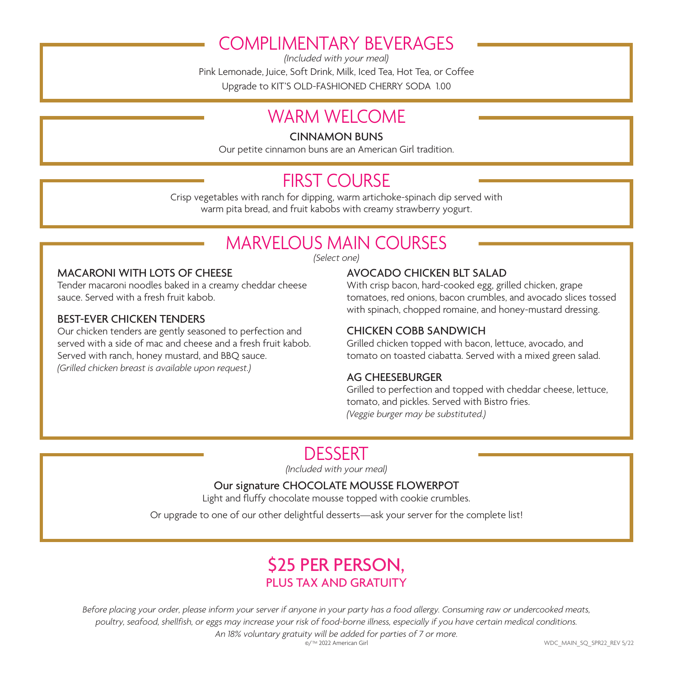# COMPLIMENTARY BEVERAGES

*(Included with your meal)* Pink Lemonade, Juice, Soft Drink, Milk, Iced Tea, Hot Tea, or Coffee Upgrade to KIT'S OLD-FASHIONED CHERRY SODA 1.00

## WARM WFI COMF

CINNAMON BUNS

Our petite cinnamon buns are an American Girl tradition.

# FIRST COURSE

Crisp vegetables with ranch for dipping, warm artichoke-spinach dip served with warm pita bread, and fruit kabobs with creamy strawberry yogurt.

# MARVELOUS MAIN COURSES

*(Select one)*

#### MACARONI WITH LOTS OF CHEESE

Tender macaroni noodles baked in a creamy cheddar cheese sauce. Served with a fresh fruit kabob.

#### BEST-EVER CHICKEN TENDERS

Our chicken tenders are gently seasoned to perfection and served with a side of mac and cheese and a fresh fruit kabob. Served with ranch, honey mustard, and BBQ sauce. *(Grilled chicken breast is available upon request.)*

#### AVOCADO CHICKEN BLT SALAD

With crisp bacon, hard-cooked egg, grilled chicken, grape tomatoes, red onions, bacon crumbles, and avocado slices tossed with spinach, chopped romaine, and honey-mustard dressing.

#### CHICKEN COBB SANDWICH

Grilled chicken topped with bacon, lettuce, avocado, and tomato on toasted ciabatta. Served with a mixed green salad.

#### AG CHEESEBURGER

Grilled to perfection and topped with cheddar cheese, lettuce, tomato, and pickles. Served with Bistro fries. *(Veggie burger may be substituted.)*

## DESSERT

*(Included with your meal)*

#### Our signature CHOCOLATE MOUSSE FLOWERPOT

Light and fluffy chocolate mousse topped with cookie crumbles.

Or upgrade to one of our other delightful desserts—ask your server for the complete list!

## \$25 PER PERSON, PLUS TAX AND GRATUITY

*Before placing your order, please inform your server if anyone in your party has a food allergy. Consuming raw or undercooked meats, poultry, seafood, shellfish, or eggs may increase your risk of food-borne illness, especially if you have certain medical conditions. An 18% voluntary gratuity will be added for parties of 7 or more.*